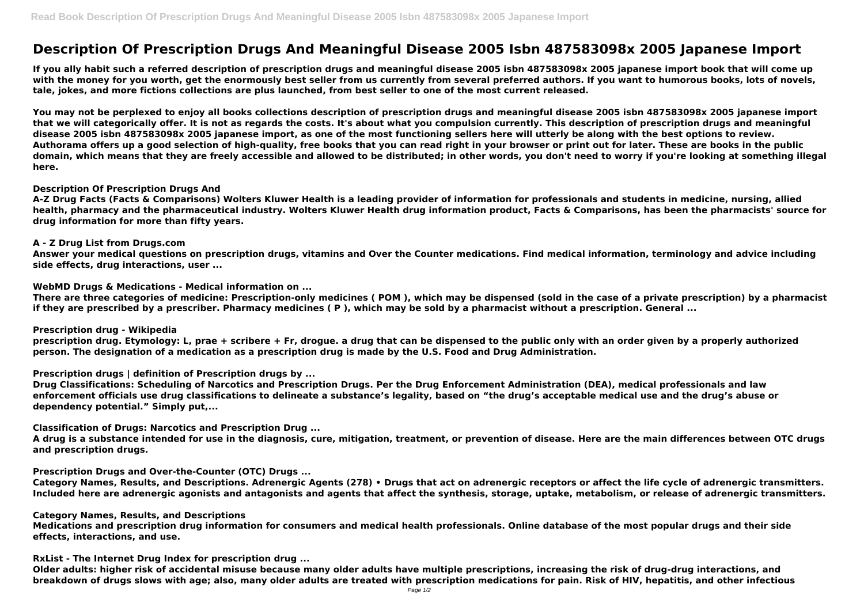# **Description Of Prescription Drugs And Meaningful Disease 2005 Isbn 487583098x 2005 Japanese Import**

**If you ally habit such a referred description of prescription drugs and meaningful disease 2005 isbn 487583098x 2005 japanese import book that will come up with the money for you worth, get the enormously best seller from us currently from several preferred authors. If you want to humorous books, lots of novels, tale, jokes, and more fictions collections are plus launched, from best seller to one of the most current released.**

**You may not be perplexed to enjoy all books collections description of prescription drugs and meaningful disease 2005 isbn 487583098x 2005 japanese import that we will categorically offer. It is not as regards the costs. It's about what you compulsion currently. This description of prescription drugs and meaningful disease 2005 isbn 487583098x 2005 japanese import, as one of the most functioning sellers here will utterly be along with the best options to review. Authorama offers up a good selection of high-quality, free books that you can read right in your browser or print out for later. These are books in the public domain, which means that they are freely accessible and allowed to be distributed; in other words, you don't need to worry if you're looking at something illegal here.**

### **Description Of Prescription Drugs And**

**A-Z Drug Facts (Facts & Comparisons) Wolters Kluwer Health is a leading provider of information for professionals and students in medicine, nursing, allied health, pharmacy and the pharmaceutical industry. Wolters Kluwer Health drug information product, Facts & Comparisons, has been the pharmacists' source for drug information for more than fifty years.**

# **A - Z Drug List from Drugs.com**

**Answer your medical questions on prescription drugs, vitamins and Over the Counter medications. Find medical information, terminology and advice including side effects, drug interactions, user ...**

# **WebMD Drugs & Medications - Medical information on ...**

**There are three categories of medicine: Prescription-only medicines ( POM ), which may be dispensed (sold in the case of a private prescription) by a pharmacist if they are prescribed by a prescriber. Pharmacy medicines ( P ), which may be sold by a pharmacist without a prescription. General ...**

### **Prescription drug - Wikipedia**

**prescription drug. Etymology: L, prae + scribere + Fr, drogue. a drug that can be dispensed to the public only with an order given by a properly authorized person. The designation of a medication as a prescription drug is made by the U.S. Food and Drug Administration.**

### **Prescription drugs | definition of Prescription drugs by ...**

**Drug Classifications: Scheduling of Narcotics and Prescription Drugs. Per the Drug Enforcement Administration (DEA), medical professionals and law enforcement officials use drug classifications to delineate a substance's legality, based on "the drug's acceptable medical use and the drug's abuse or dependency potential." Simply put,...**

### **Classification of Drugs: Narcotics and Prescription Drug ...**

**A drug is a substance intended for use in the diagnosis, cure, mitigation, treatment, or prevention of disease. Here are the main differences between OTC drugs and prescription drugs.**

### **Prescription Drugs and Over-the-Counter (OTC) Drugs ...**

**Category Names, Results, and Descriptions. Adrenergic Agents (278) • Drugs that act on adrenergic receptors or affect the life cycle of adrenergic transmitters. Included here are adrenergic agonists and antagonists and agents that affect the synthesis, storage, uptake, metabolism, or release of adrenergic transmitters.**

### **Category Names, Results, and Descriptions**

**Medications and prescription drug information for consumers and medical health professionals. Online database of the most popular drugs and their side effects, interactions, and use.**

### **RxList - The Internet Drug Index for prescription drug ...**

**Older adults: higher risk of accidental misuse because many older adults have multiple prescriptions, increasing the risk of drug-drug interactions, and breakdown of drugs slows with age; also, many older adults are treated with prescription medications for pain. Risk of HIV, hepatitis, and other infectious**